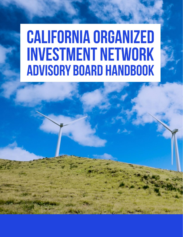# **CALIFORNIA ORGANIZED INVESTMENT NETWORK ADVISORY BOARD HANDBOOK**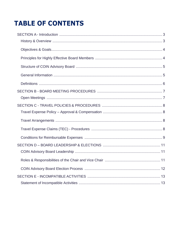# **TABLE OF CONTENTS**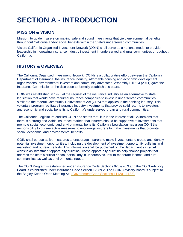# <span id="page-2-0"></span>**SECTION A - INTRODUCTION**

### **MISSION & VISION**

Mission: to guide insurers on making safe and sound investments that yield environmental benefits throughout California and/or social benefits within the State's underserved communities.

Vision: California Organized Investment Network (COIN) shall serve as a national model to provide leadership in increasing insurance industry investment in underserved and rural communities throughout California.

# <span id="page-2-1"></span>**HISTORY & OVERVIEW**

The California Organized Investment Network (COIN) is a collaborative effort between the California Department of Insurance, the insurance industry, affordable housing and economic development organizations, environmental investors and community advocates. Assembly Bill 624 (2011) gave the Insurance Commissioner the discretion to formally establish this board.

COIN was established in 1996 at the request of the insurance industry as an alternative to state legislation that would have required insurance companies to invest in underserved communities, similar to the federal Community Reinvestment Act (CRA) that applies to the banking industry. This voluntary program facilitates insurance industry investments that provide solid returns to investors and economic and social benefits to California's underserved urban and rural communities.

The California Legislature codified COIN and states that, it is in the interest of all Californians that there is a strong and viable insurance market; that insurers should be supportive of investments that promote social, economic, and environmental benefits. California Legislation has given COIN the responsibility to pursue active measures to encourage insurers to make investments that promote social, economic, and environmental benefits.

COIN shall pursue active measures to encourage insurers to make investments to create and identify potential investment opportunities, including the development of investment opportunity bulletins and marketing and outreach efforts. This information shall be published on the department's internet website as investment opportunity bulletins. These opportunity bulletins help finance projects that address the state's critical needs, particularly in underserved, low-to-moderate-income, and rural communities, as well as environmental needs.

The COIN Program is established under Insurance Code Sections 926-926.3 and the COIN Advisory Board is established under Insurance Code Section 12939.2. The COIN Advisory Board is subject to the Bagley-Keene Open Meeting Act [\(Government Code Sections 11120-11132\).](https://leginfo.legislature.ca.gov/faces/codes_displayText.xhtml?lawCode=GOV&division=3.&title=2.&part=1.&chapter=1.&article=9)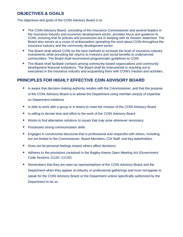# <span id="page-3-0"></span>**OBJECTIVES & GOALS**

The objectives and goals of the COIN Advisory Board is to:

- The COIN Advisory Board, consisting of the Insurance Commissioner and several leaders in the insurance industry and economic development sector, provides focus and guidance to COIN, ensuring that its policies and procedures are in keeping with its mission statement. The Board also serves as a corps of ambassadors spreading the word about COIN throughout the insurance industry and the community development sector.
- The Board shall advise COIN on the best methods to increase the level of insurance industry investments while providing fair returns to investors and social benefits to underserved communities. The Board shall recommend programmatic guidelines to COIN
- The Board shall facilitate contacts among community-based organizations and community development financial institutions. The Board shall be instrumental in reaching out to executives in the insurance industry and acquainting them with COIN's mission and activities.

### <span id="page-3-1"></span>**PRINCIPLES FOR HIGHLY EFFECTIVE COIN ADVISORY BOARD**

- Is aware that decision-making authority resides with the Commissioner, and that the purpose of the COIN Advisory Board is to advise the Department using member area(s) of expertise on Department initiatives
- Is able to work with a group or in teams to meet the mission of the COIN Advisory Board
- Is willing to devote time and effort to the work of the COIN Advisory Board
- Works to find alternative solutions to issues that may arise whenever necessary
- Possesses strong communication skills
- Engages in constructive discourse that is professional and respectful with others, including, but not limited to the Commissioner, Board Members, CDI Staff, and key stakeholders
- Does not let personal feelings toward others affect decisions
- Adheres to the provisions contained in the Bagley-Keene Open Meeting Act (Government Code Sections 11120 -11132)
- Remembers that they are seen as representatives of the COIN Advisory Board and the Department when they appear at industry or professional gatherings and must not appear to speak for the COIN Advisory Board or the Department unless specifically authorized by the Department to do so.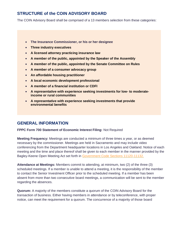# <span id="page-4-0"></span>**STRUCTURE of the COIN ADVISORY BOARD**

The COIN Advisory Board shall be comprised of a 13 members selection from these categories:

- **The Insurance Commissioner, or his or her designee**
- **Three industry executives**
- **A licensed attorney practicing insurance law**
- **A member of the public, appointed by the Speaker of the Assembly**
- **A member of the public, appointed by the Senate Committee on Rules**
- **A member of a consumer advocacy group**
- **An affordable housing practitioner**
- **A local economic development professional**
- **A member of a financial institution or CDFI**
- **A representative with experience seeking investments for low- to moderateincome or rural communities**
- **A representative with experience seeking investments that provide environmental benefits**

### <span id="page-4-1"></span>**GENERAL INFORMATION**

#### **FPPC Form 700 Statement of Economic Interest Filing:** Not Required

**Meeting Frequency:** Meetings are conducted a minimum of three times a year, or as deemed necessary by the commissioner. Meetings are held in Sacramento and may include video conferencing from the Department headquarter locations in Los Angeles and Oakland. Notice of each meeting and the time and place thereof shall be given to each member in the manner provided by the Bagley-Keene Open Meeting Act set forth in [Government Code Sections 11120-11132.](https://leginfo.legislature.ca.gov/faces/codes_displayText.xhtml?lawCode=GOV&division=3.&title=2.&part=1.&chapter=1.&article=9)

**Attendance at Meetings:** Members commit to attending, at minimum, two (2) of the three (3) scheduled meetings. If a member is unable to attend a meeting, it is the responsibility of the member to contact the Senior Investment Officer prior to the scheduled meeting. If a member has been absent from more than two consecutive board meetings, a communication will be sent to the member regarding the absences.

**Quorum:** A majority of the members constitute a quorum of the COIN Advisory Board for the transaction of business. Either having members in attendance or by teleconference, with proper notice, can meet the requirement for a quorum. The concurrence of a majority of those board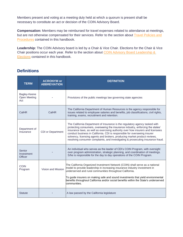Members present and voting at a meeting duly held at which a quorum is present shall be necessary to constitute an act or decision of the COIN Advisory Board.

**Compensation:** Members may be reimbursed for travel expenses related to attendance at meetings, but are not otherwise compensated for their services. Refer to the section about [Travel Policies and](#page-7-0) [Procedures](#page-7-0) contained in this handbook.

Leadership: The COIN Advisory board is led by a Chair & Vice Chair. Elections for the Chair & Vice Chair positions occur each year. Refer to the section about [COIN Advisory Board Leadership &](#page-10-0)  [Elections](#page-10-0) contained in this handbook.

### <span id="page-5-0"></span>**Definitions**

| <b>TERM</b>                            | <b>ACRONYM or</b><br><b>ABBREVIATION</b> | <b>DEFINITION</b>                                                                                                                                                                                                                                                                                                                                                                                                                                                                             |
|----------------------------------------|------------------------------------------|-----------------------------------------------------------------------------------------------------------------------------------------------------------------------------------------------------------------------------------------------------------------------------------------------------------------------------------------------------------------------------------------------------------------------------------------------------------------------------------------------|
| Bagley-Keene<br>Open Meeting<br>Act    |                                          | Provisions of the public meetings law governing state agencies                                                                                                                                                                                                                                                                                                                                                                                                                                |
| CalHR                                  | CalHR                                    | The California Department of Human Resources is the agency responsible for<br>issues related to employee salaries and benefits, job classifications, civil rights,<br>training, exams, recruitment and retention.                                                                                                                                                                                                                                                                             |
| Department of<br>Insurance             | <b>CDI or Department</b>                 | The California Department of Insurance is the regulatory agency tasked with<br>protecting consumers, overseeing the insurance industry, enforcing the states'<br>insurance laws, as well as exercising authority over how insurers and licensees<br>conduct business in California. CDI is responsible for overseeing insurer<br>solvency, licensing agents and brokers, producing market product reviews,<br>resolving consumer complaints, and investigating & prosecuting insurance fraud. |
| Senior<br>Investment<br><b>Officer</b> |                                          | An individual who serves as the leader of CDI's COIN Program, with oversight<br>over program administration, strategic planning, and coordination of meetings.<br>S/he is responsible for the day to day operations of the COIN Program.                                                                                                                                                                                                                                                      |
| <b>COIN</b><br>Program                 | Vision and Mission                       | The California Organized Investment Network (COIN) shall serve as a national<br>model to provide leadership in increasing insurance industry investment in<br>underserved and rural communities throughout California.<br>To guide insurers on making safe and sound investments that yield environmental<br>benefits throughout California and/or social benefits within the State's underserved<br>communities.                                                                             |
| <b>Statute</b>                         |                                          | A law passed by the California legislature                                                                                                                                                                                                                                                                                                                                                                                                                                                    |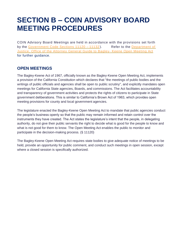# <span id="page-6-0"></span>**SECTION B – COIN ADVISORY BOARD MEETING PROCEDURES**

COIN Advisory Board Meetings are held in accordance with the provisions set forth by the [Government Code Sections 11120 –](https://leginfo.legislature.ca.gov/faces/codes_displayText.xhtml?lawCode=GOV&division=3.&title=2.&part=1.&chapter=1.&article=9) 11132). Refer to the Department of [Justice, Office of the Attorney](https://oag.ca.gov/sites/all/files/agweb/pdfs/publications/bagleykeene2004_ada.pdf) General Guide to Bagley- Keene Open Meeting Act for further guidance.

### <span id="page-6-1"></span>**OPEN MEETINGS**

The Bagley-Keene Act of 1967, officially known as the Bagley-Keene Open Meeting Act, implements a provision of the California Constitution which declares that "the meetings of public bodies and the writings of public officials and agencies shall be open to public scrutiny", and explicitly mandates open meetings for California State agencies, Boards, and commissions. The Act facilitates accountability and transparency of government activities and protects the rights of citizens to participate in State government deliberations. This is similar to California's Brown Act of 1963, which provides open meeting provisions for county and local government agencies.

The legislature enacted the Bagley-Keene Open Meeting Act to mandate that public agencies conduct the people's business openly so that the public may remain informed and retain control over the instruments they have created. The Act states the legislature's intent that the people, in delegating authority, do not give their public servants the right to decide what is good for the people to know and what is not good for them to know. The Open Meeting Act enables the public to monitor and participate in the decision-making process. (§ 11120)

The Bagley-Keene Open Meeting Act requires state bodies to give adequate notice of meetings to be held, provide an opportunity for public comment, and conduct such meetings in open session, except where a closed session is specifically authorized.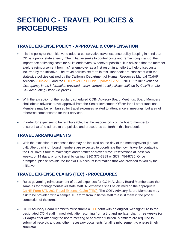# <span id="page-7-0"></span>**SECTION C - TRAVEL POLICIES & PROCEDURES**

### <span id="page-7-1"></span>**TRAVEL EXPENSE POLICY - APPROVAL & COMPENSATION**

- It is the policy of the Initiative to adopt a conservative travel expense policy keeping in mind that CDI is a public state agency. The Initiative seeks to control costs and remain cognizant of the importance of limiting costs for all its endeavors. Whenever possible, it is advised that the member explore reimbursement from his/her employer as a first resort in an effort to help offset costs incurred by the Initiative. The travel policies set forth in this Handbook are consistent with the statewide policies outlined by the California Department of Human Resources Manual (CalHR), sections [2202-](http://hrmanual.calhr.ca.gov/Home/ManualItem/1/2202)[2203](http://hrmanual.calhr.ca.gov/Home/ManualItem/1/2203) and the [CDI Travel Tips Guide \(updated 3/1/20\).](https://files.constantcontact.com/b3c52db5401/d864febc-7792-473c-9a8d-25abb97c6ba1.pdf) **NOTE:** *In the event of a discrepancy in the information provided herein, current travel policies outlined by CalHR and/or CDI Accounting Office will prevail.*
- With the exception of the regularly scheduled COIN Advisory Board Meetings, Board Members shall obtain advance travel approval from the Senior Investment Officer for all other functions. Members may be reimbursed for travel expenses related to attendance at meetings, but are not otherwise compensated for their services.
- In order for expenses to be reimbursable, it is the responsibility of the board member to ensure that s/he adhere to the policies and procedures set forth in this handbook.

# <span id="page-7-2"></span>**TRAVEL ARRANGEMENTS**

• With the exception of expenses that may be incurred on the day of the meeting/event (i.e. taxi, Lyft, Uber, parking), board members are expected to coordinate their own travel by contacting the CalTravel Store to make flight and/or other approved travel reservations at least two weeks, or 14 days, prior to travel by calling (916) 376-3989 or (877) 454-8785. Once prompted, please provide the Index/PCA account information that was provided to you by the Initiative.

# <span id="page-7-3"></span>**TRAVEL EXPENSE CLAIMS (TEC) - PROCEDURES**

- Rules governing reimbursement of travel expenses for COIN Advisory Board Members are the same as for management-level state staff. All expenses shall be claimed on the appropriate [CalHR Form STD](https://www.documents.dgs.ca.gov/dgs/fmc/pdf/std262.pdf) [262 Travel Expense Claim \(TEC\).](https://www.documents.dgs.ca.gov/dgs/fmc/pdf/std262.pdf) The COIN Advisory Board Members may ask to be provided with a sample TEC form from Initiative staff to assist them in the proper completion of the forms.
- COIN Advisory Board members must submit a [TEC](https://www.documents.dgs.ca.gov/dgs/fmc/pdf/std262.pdf) form with an original, wet signature to the designated COIN staff immediately after returning from a trip and **no later than three weeks (or 21 days)** after attending the board meeting or approved function. Members are required to submit all receipts and any other necessary documents for all reimbursement to ensure timely submittal.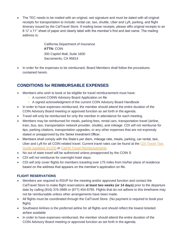• The TEC needs to be mailed with an original, wet signature and must be dated with all original receipts for transportation to include: rental car, taxi, shuttle, Uber and Lyft, parking, and flight itinerary issued by the CalTravel Store. If mailing loose receipts, please affix original receipts to an 8 1/2" x 11" sheet of paper and clearly label with the member's first and last name. The mailing address is:

> California Department of Insurance **ATTN:** COIN 300 Capitol Mall, Suite 1600 Sacramento, CA 95814

• In order for the expenses to be reimbursed, Board Members shall follow the procedures contained herein.

# <span id="page-8-0"></span>**CONDITIONS for REIMBURSABLE EXPENSES**

- Members who wish to book or be eligible for travel reimbursement must have:
	- **A current COINN Advisory Board Application on file**
	- **EXT** A signed acknowledgment of the current COIN Advisory Board Handbook
- In order to have expenses reimbursed, the member should attend the entire duration of the COIN Advisory Board meeting or approved function as set forth in the agenda.
- Travel will only be reimbursed for only the member in attendance for each meeting.
- Members may be reimbursed for meals, parking fees, rental cars, transportation travel (airline, train, bus, taxi, transportation network provider, shuttle), and mileage. CDI *will not* reimburse for tips, parking citations, transportation upgrades, or any other expenses that are not expressly stated or preapproved by the Senior Investment Officer.
- Members shall comply with the State's per diem, mileage rate, meals, parking, car rental, taxi, Uber and Lyft for all COIN related travel. Current travel rates can be found at the [CDI Travel](https://files.constantcontact.com/b3c52db5401/d864febc-7792-473c-9a8d-25abb97c6ba1.pdf) Tips [Guide \(updated 3/1/20\)](https://files.constantcontact.com/b3c52db5401/d864febc-7792-473c-9a8d-25abb97c6ba1.pdf) or CalHR Travel [Reimbursements.](https://www.calhr.ca.gov/employees/Pages/travel-reimbursements.aspx)
- No out of state travel will be authorized unless preapproved by the COIN S
- CDI *will not* reimburse for overnight hotel stays.
- CDI *will only* cover flights for members traveling over 175 miles from his/her place of residence based on the address that appears on the member's application on file.

#### **FLIGHT RESERVATIONS**

- Members are required to RSVP for the meeting and/or approved function and contact the CalTravel Store to make flight reservations **at least two weeks (or 14 days)** prior to the departure date by calling (916) 376-3989 or (877) 454-8785. Flights that do not adhere to this timeframe may not be reimbursable unless other arrangements have been made.
- All flights must be coordinated through the CalTravel Store. (No payment is required to book your flight).
- Southwest Airlines is the preferred airline for all flights and should reflect the lowest ticketed airfare available
- In order to have expenses reimbursed, the member should attend the entire duration of the COIN Advisory Board meeting or approved function as set forth in the agenda.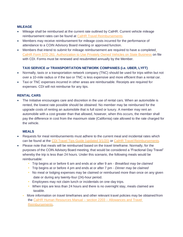#### **MILEAGE**

- Mileage shall be reimbursed at the current rate outlined by CalHR. Current vehicle mileage reimbursement rates can be found at CalHR Travel [Reimbursements.](https://www.calhr.ca.gov/employees/Pages/travel-reimbursements.aspx)
- Members may receive reimbursement for mileage costs incurred for the performance of attendance to a COIN Advisory Board meeting or approved function.
- Members that intend to submit for mileage reimbursement are required to have a complete[d](https://www.documents.dgs.ca.gov/dgs/fmc/pdf/std261.pdf) CalHR [Form STD 261: Authorization to Use Privately Owned Vehicles on State Business](https://www.documents.dgs.ca.gov/dgs/fmc/pdf/std261.pdf) on file with CDI. Forms must be renewed and resubmitted annually by the Member.

#### **TAXI SERVICE or TRANSPORTATION NETWORK COMPANIES (i.e. UBER, LYFT)**

- Normally, taxis or a transportation network company (TNC) should be used for trips within but not over a 10-mile radius or if the taxi or TNC is less expensive and more efficient than a rental car.
- Taxi or TNC expenses incurred in other areas are reimbursable. Receipts are required for expenses. CDI will not reimburse for any tips.

#### **RENTAL CARS**

• The Initiative encourages care and discretion in the use of rental cars. When an automobile is rented, the lowest rate possible should be obtained. No member may be reimbursed for the upgrade costs of renting an automobile that is full sized or luxury. A member may rent an automobile with a cost greater than that allowed, however, when this occurs, the member shall pay the difference in cost from the maximum state (California) rate allowed to the rate charged for the vehicle.

#### **MEALS**

- Requests for meal reimbursements must adhere to the current meal and incidental rates which can be found at the [CDI Travel Tips Guide \(updated 3/1/20\)](https://files.constantcontact.com/b3c52db5401/d864febc-7792-473c-9a8d-25abb97c6ba1.pdf) or CalHR Travel [Reimbursements.](https://www.calhr.ca.gov/employees/Pages/travel-reimbursements.aspx)
- Please note that meals will be reimbursed based on the travel timeframe. Normally, for the purposes of the COIN Advisory Board meeting, that would be considered a "Fractional Day Travel" whereby the trip is less than 24 hours. Under this scenario, the following meals would be reimbursable:
	- Trip begins at or before 6 am and ends at or after 9 am *Breakfast may be claimed*
	- Trip begins at or before 4 pm and ends at or after 7 pm *Dinner may be claimed*
	- No meal or lodging expenses may be claimed or reimbursed more than once on any given date or during any twenty-four (24)-hour period.
	- **Employees may not claim lunch or incidentals on one-day trips.**
	- **When trips are less than 24 hours and there is no overnight stay, meals claimed are** taxable.
	- More information on travel timeframes and other relevant travel policies may be obtained from the [CalHR Human Resources Manual –](http://hrmanual.calhr.ca.gov/Home/ManualItem/1/2203) section 2203 – Allowances and Trave[l](http://hrmanual.calhr.ca.gov/Home/ManualItem/1/2203) [Reimbursements.](http://hrmanual.calhr.ca.gov/Home/ManualItem/1/2203)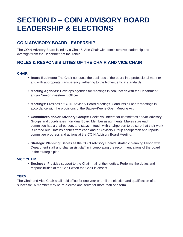# <span id="page-10-0"></span>**SECTION D – COIN ADVISORY BOARD LEADERSHIP & ELECTIONS**

## <span id="page-10-1"></span>**COIN ADVISORY BOARD LEADERSHIP**

The COIN Advisory Board is led by a Chair & Vice Chair with administrative leadership and oversight from the Department of Insurance.

# <span id="page-10-2"></span>**ROLES & RESPONSIBILITIES OF THE CHAIR AND VICE CHAIR**

#### **CHAIR**

- **Board Business:** The Chair conducts the business of the board in a professional manner and with appropriate transparency, adhering to the highest ethical standards.
- **Meeting Agendas:** Develops agendas for meetings in conjunction with the Department and/or Senior Investment Officer.
- **Meetings:** Presides at COIN Advisory Board Meetings. Conducts all board meetings in accordance with the provisions of the Bagley-Keene Open Meeting Act.
- **Committees and/or Advisory Groups:** Seeks volunteers for committees and/or Advisory Groups and coordinates individual Board Member assignments. Makes sure each committee has a chairperson, and stays in touch with chairperson to be sure that their work is carried out. Obtains debrief from each and/or Advisory Group chairperson and reports committee progress and actions at the COIN Advisory Board Meeting.
- **Strategic Planning:** Serves as the COIN Advisory Board's strategic planning liaison with Department staff and shall assist staff in incorporating the recommendations of the board in the strategic plan.

#### **VICE CHAIR**

• **Business:** Provides support to the Chair in all of their duties. Performs the duties and responsibilities of the Chair when the Chair is absent.

#### **TERM**

The Chair and Vice Chair shall hold office for one year or until the election and qualification of a successor. A member may be re-elected and serve for more than one term.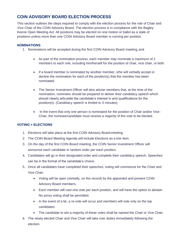# <span id="page-11-0"></span>**COIN ADVISORY BOARD ELECTION PROCESS**

This section outlines the steps required to comply with the election process for the role of Chair and Vice Chair of the COIN Advisory Board. The election process is in compliance with the Bagley-Keene Open Meeting Act. All positions may be elected on one motion or ballot as a slate of positions unless more than one COIN Advisory Board member is running per position.

#### **NOMINATIONS**

- 1. Nominations will be accepted during the first COIN Advisory Board meeting,and
	- As part of the nomination process, each member may nominate a maximum of 2 members to each role, including him/herself for the position of chair, vice chair, or both.
	- If a board member is nominated by another member, s/he will verbally accept or decline the nomination for each of the position(s) that the member has been nominated.
	- The Senior Investment Officer will also advise members that, at the time of the nomination, nominees should be prepared to deliver their candidacy speech which should clearly articulate the candidate's interest in and qualifications for the position(s). (Candidacy speech is limited to 5 minutes)
	- In the event that only one person is nominated for the position of Chair and/or Vice-Chair, the nominee/candidate must receive a majority of the vote to be elected.

#### **VOTING + ELECTIONS**

- 1. Elections will take place at the first COIN Advisory Board meeting.
- 2. The COIN Board Meeting Agenda will include Elections as a line item.
- 3. On the day of the first COIN Board meeting, the COIN Senior Investment Officer will announce each candidate in random order per each position.
- 4. Candidates will go in their designated order and complete their candidacy speech. Speeches can be in the format of the candidate's choice.
- 5. Once all candidates have completed their speeches, voting will commence for the Chair and Vice Chair.
	- Voting will be open (verbally, on the record) by the appointed and present COIN Advisory Board members.
	- Each member will cast one vote per each position, and will have the option to abstain. No proxy voting shall be permitted.
	- In the event of a tie, a re-vote will occur and members will vote only on the top candidates
	- The candidate to win a majority of these votes shall be named the Chair or Vice Chair.
- 6. The newly elected Chair and Vice Chair will take over duties immediately following the election.